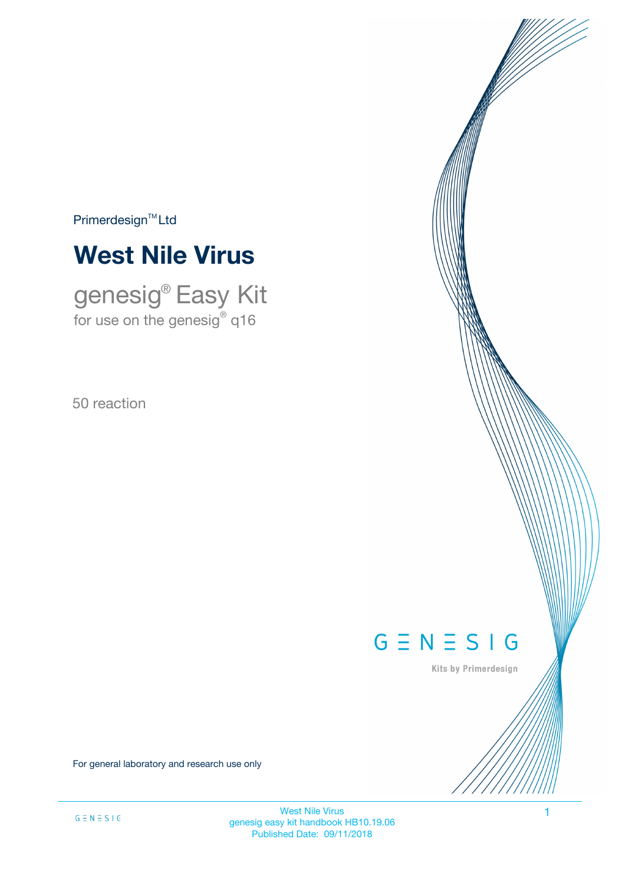$Primerdesign^{TM}$ Ltd



genesig® Easy Kit for use on the genesig $^\circ$  q16

50 reaction



Kits by Primerdesign

For general laboratory and research use only

West Nile Virus 1 genesig easy kit handbook HB10.19.06 Published Date: 09/11/2018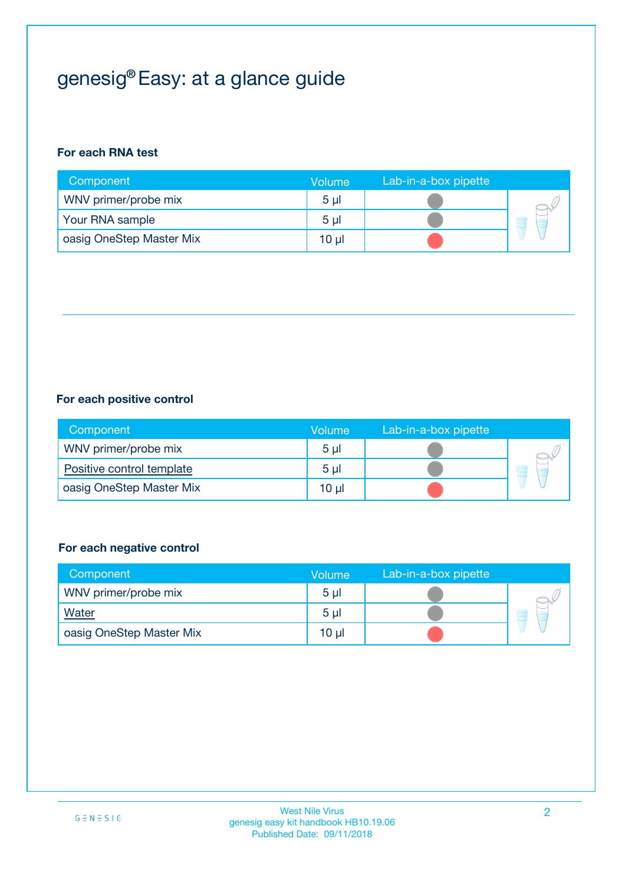# genesig® Easy: at a glance guide

## **For each RNA test**

| Component                | <b>Volume</b>  | Lab-in-a-box pipette |  |
|--------------------------|----------------|----------------------|--|
| WNV primer/probe mix     | 5 <sub>µ</sub> |                      |  |
| Your RNA sample          | 5 <sub>µ</sub> |                      |  |
| oasig OneStep Master Mix | 10 µl          |                      |  |

## **For each positive control**

| Component                 | Volume         | Lab-in-a-box pipette |  |
|---------------------------|----------------|----------------------|--|
| WNV primer/probe mix      | 5 <sub>µ</sub> |                      |  |
| Positive control template | 5 <sub>µ</sub> |                      |  |
| oasig OneStep Master Mix  | 10 µl          |                      |  |

## **For each negative control**

| Component                | Volume         | Lab-in-a-box pipette |   |
|--------------------------|----------------|----------------------|---|
| WNV primer/probe mix     | 5 <sub>µ</sub> |                      |   |
| <b>Water</b>             | 5 <sub>µ</sub> |                      | - |
| oasig OneStep Master Mix | 10 µl          |                      |   |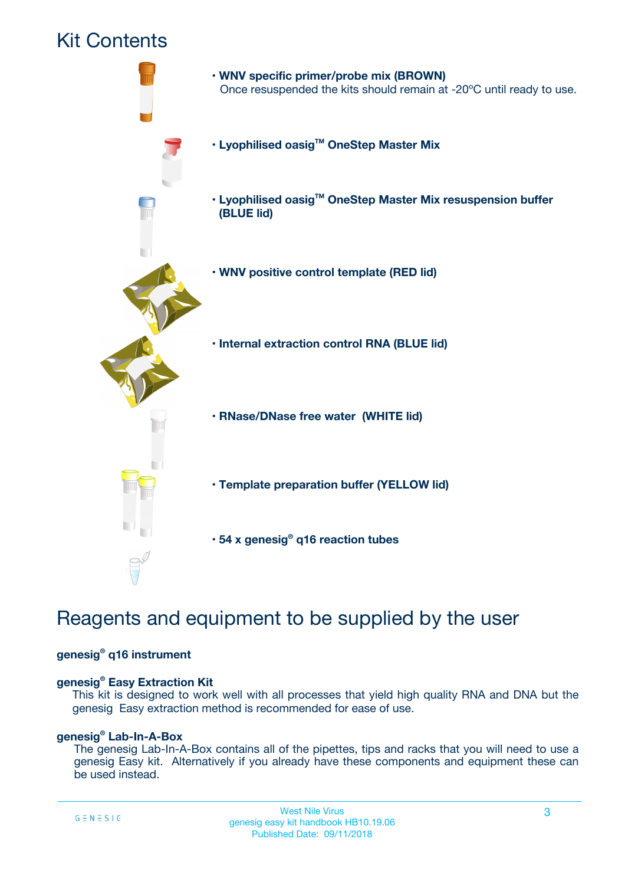## Kit Contents



## Reagents and equipment to be supplied by the user

### **genesig® q16 instrument**

### **genesig® Easy Extraction Kit**

This kit is designed to work well with all processes that yield high quality RNA and DNA but the genesig Easy extraction method is recommended for ease of use.

## **genesig® Lab-In-A-Box**

The genesig Lab-In-A-Box contains all of the pipettes, tips and racks that you will need to use a genesig Easy kit. Alternatively if you already have these components and equipment these can be used instead.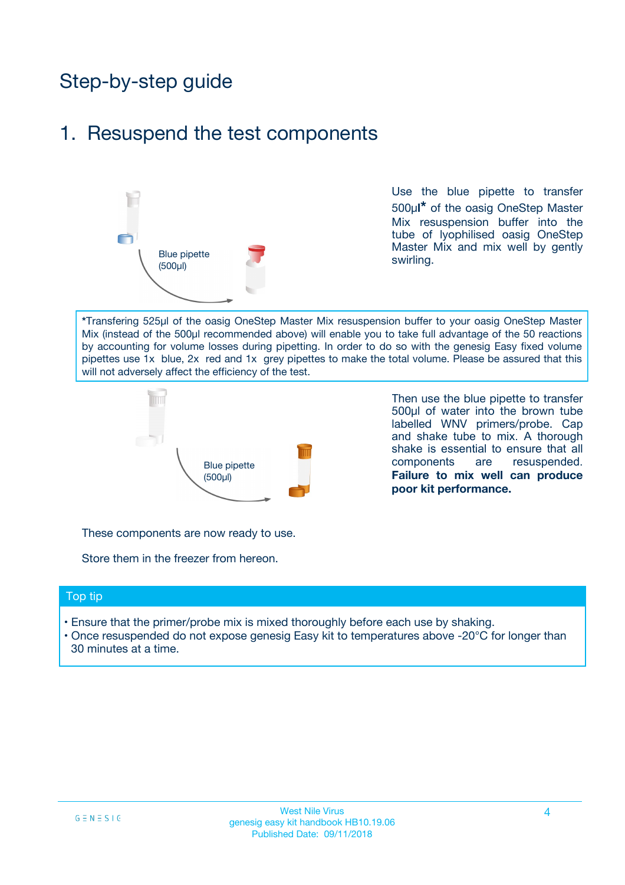# Step-by-step guide

## 1. Resuspend the test components



Use the blue pipette to transfer 500µ**l\*** of the oasig OneStep Master Mix resuspension buffer into the tube of lyophilised oasig OneStep Master Mix and mix well by gently swirling.

**\***Transfering 525µl of the oasig OneStep Master Mix resuspension buffer to your oasig OneStep Master Mix (instead of the 500µl recommended above) will enable you to take full advantage of the 50 reactions by accounting for volume losses during pipetting. In order to do so with the genesig Easy fixed volume pipettes use 1x blue, 2x red and 1x grey pipettes to make the total volume. Please be assured that this will not adversely affect the efficiency of the test.



Then use the blue pipette to transfer 500µl of water into the brown tube labelled WNV primers/probe. Cap and shake tube to mix. A thorough shake is essential to ensure that all components are resuspended. **Failure to mix well can produce poor kit performance.**

These components are now ready to use.

Store them in the freezer from hereon.

### Top tip

- Ensure that the primer/probe mix is mixed thoroughly before each use by shaking.
- Once resuspended do not expose genesig Easy kit to temperatures above -20°C for longer than 30 minutes at a time.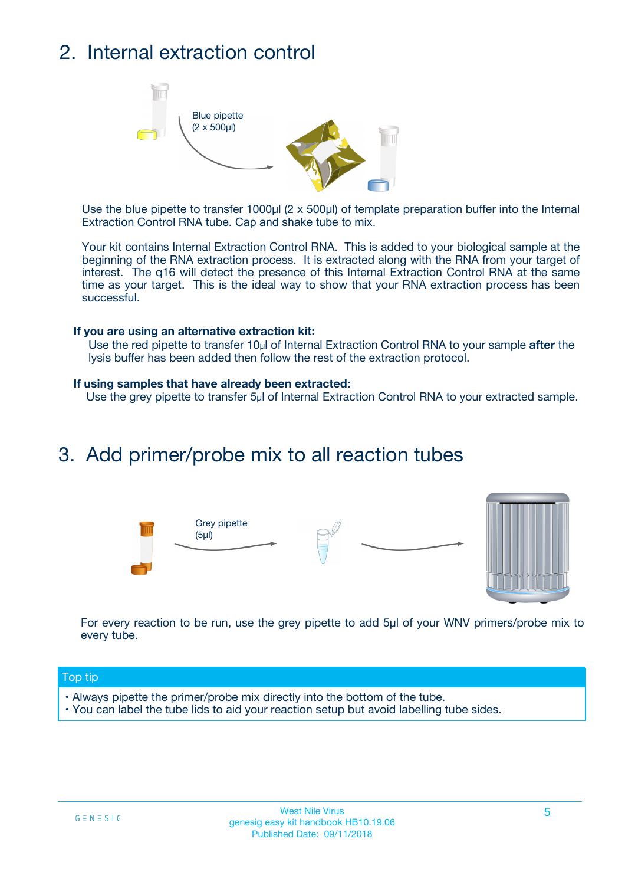# 2. Internal extraction control



Use the blue pipette to transfer 1000µl (2 x 500µl) of template preparation buffer into the Internal Extraction Control RNA tube. Cap and shake tube to mix.

Your kit contains Internal Extraction Control RNA. This is added to your biological sample at the beginning of the RNA extraction process. It is extracted along with the RNA from your target of interest. The q16 will detect the presence of this Internal Extraction Control RNA at the same time as your target. This is the ideal way to show that your RNA extraction process has been successful.

#### **If you are using an alternative extraction kit:**

Use the red pipette to transfer 10µl of Internal Extraction Control RNA to your sample **after** the lysis buffer has been added then follow the rest of the extraction protocol.

#### **If using samples that have already been extracted:**

Use the grey pipette to transfer 5µl of Internal Extraction Control RNA to your extracted sample.

## 3. Add primer/probe mix to all reaction tubes





For every reaction to be run, use the grey pipette to add 5µl of your WNV primers/probe mix to every tube.

### Top tip

- Always pipette the primer/probe mix directly into the bottom of the tube.
- You can label the tube lids to aid your reaction setup but avoid labelling tube sides.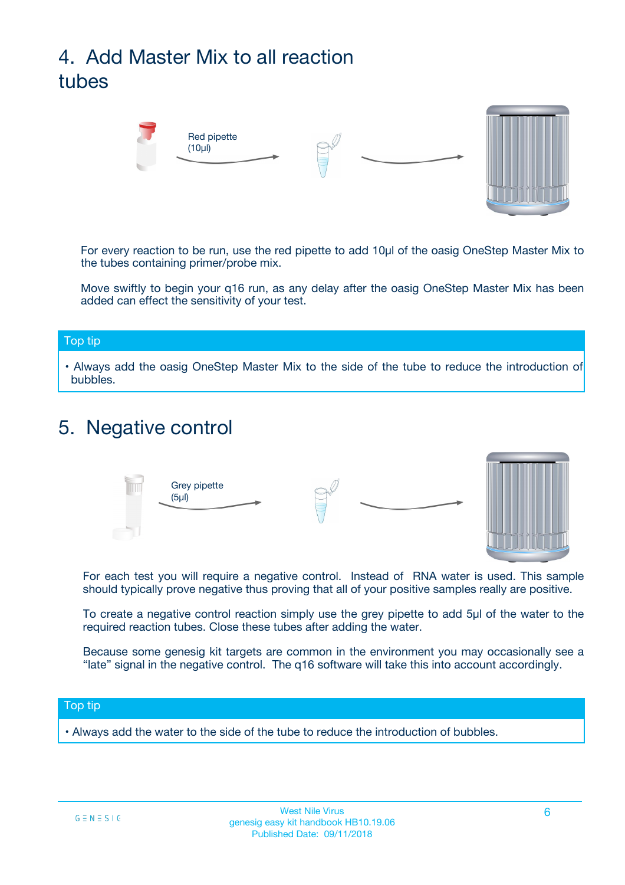# 4. Add Master Mix to all reaction tubes



For every reaction to be run, use the red pipette to add 10µl of the oasig OneStep Master Mix to the tubes containing primer/probe mix.

Move swiftly to begin your q16 run, as any delay after the oasig OneStep Master Mix has been added can effect the sensitivity of your test.

### Top tip

**•** Always add the oasig OneStep Master Mix to the side of the tube to reduce the introduction of bubbles.

## 5. Negative control



For each test you will require a negative control. Instead of RNA water is used. This sample should typically prove negative thus proving that all of your positive samples really are positive.

To create a negative control reaction simply use the grey pipette to add 5µl of the water to the required reaction tubes. Close these tubes after adding the water.

Because some genesig kit targets are common in the environment you may occasionally see a "late" signal in the negative control. The q16 software will take this into account accordingly.

### Top tip

**•** Always add the water to the side of the tube to reduce the introduction of bubbles.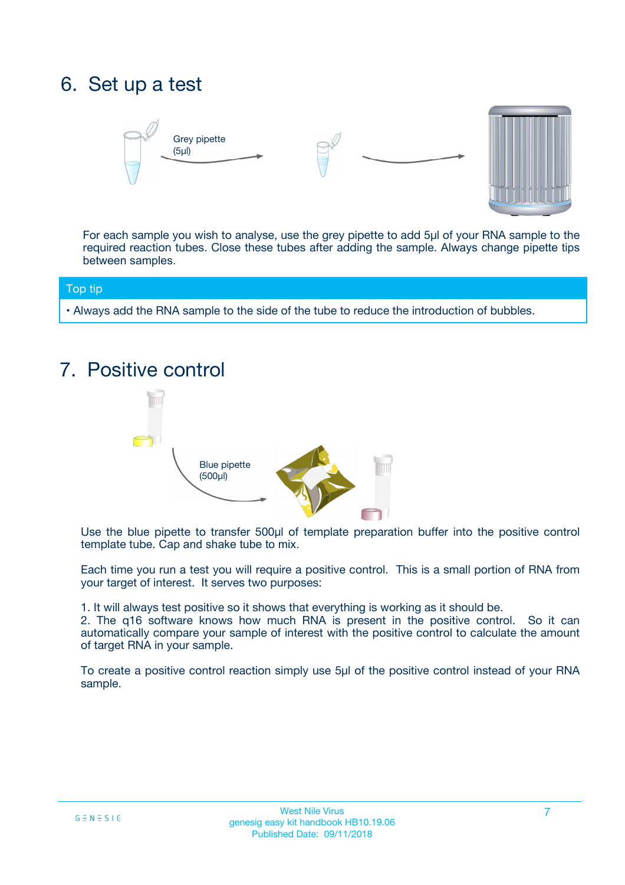# 6. Set up a test





For each sample you wish to analyse, use the grey pipette to add 5µl of your RNA sample to the required reaction tubes. Close these tubes after adding the sample. Always change pipette tips between samples.

### Top tip

**•** Always add the RNA sample to the side of the tube to reduce the introduction of bubbles.

## 7. Positive control



Use the blue pipette to transfer 500µl of template preparation buffer into the positive control template tube. Cap and shake tube to mix.

Each time you run a test you will require a positive control. This is a small portion of RNA from your target of interest. It serves two purposes:

1. It will always test positive so it shows that everything is working as it should be.

2. The q16 software knows how much RNA is present in the positive control. So it can automatically compare your sample of interest with the positive control to calculate the amount of target RNA in your sample.

To create a positive control reaction simply use 5µl of the positive control instead of your RNA sample.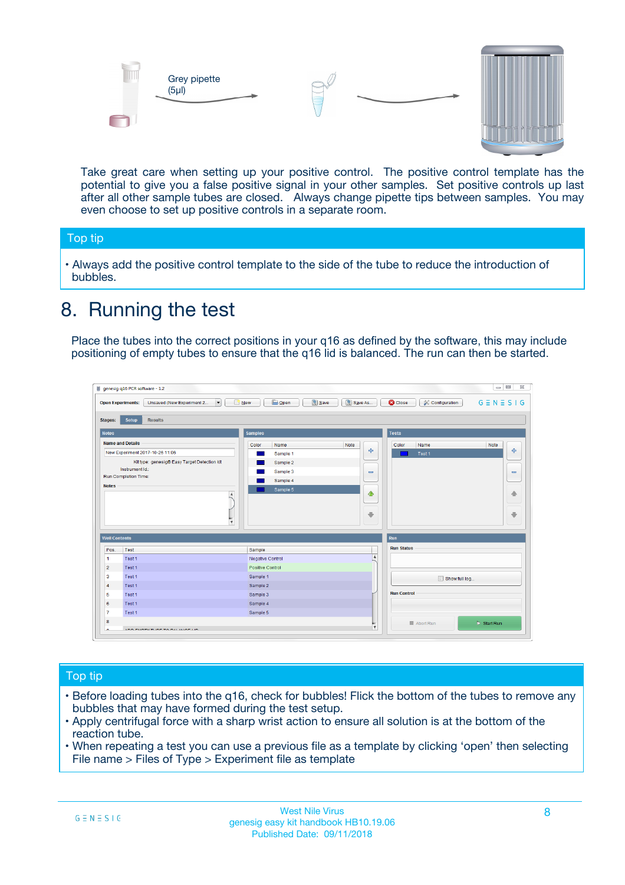



Take great care when setting up your positive control. The positive control template has the potential to give you a false positive signal in your other samples. Set positive controls up last after all other sample tubes are closed. Always change pipette tips between samples. You may even choose to set up positive controls in a separate room.

### Top tip

**•** Always add the positive control template to the side of the tube to reduce the introduction of bubbles.

## 8. Running the test

Place the tubes into the correct positions in your q16 as defined by the software, this may include positioning of empty tubes to ensure that the q16 lid is balanced. The run can then be started.

|                                                | Unsaved (New Experiment 2<br><b>Open Experiments:</b><br>$\overline{\phantom{a}}$ | <b>E</b> Open<br>Save<br>$\Box$ New | Save As          | <b>C</b> Close<br>Configuration | $G \equiv N \equiv S \mid G$ |
|------------------------------------------------|-----------------------------------------------------------------------------------|-------------------------------------|------------------|---------------------------------|------------------------------|
| <b>Stages:</b>                                 | Setup<br><b>Results</b>                                                           |                                     |                  |                                 |                              |
| <b>Notes</b>                                   |                                                                                   | <b>Samples</b>                      |                  | <b>Tests</b>                    |                              |
|                                                | <b>Name and Details</b>                                                           | Color<br>Name                       | Note             | Color<br>Name                   | Note                         |
|                                                | New Experiment 2017-10-26 11:06                                                   | Sample 1                            | 4                | Test 1                          | 4                            |
|                                                | Kit type: genesig® Easy Target Detection kit                                      | Sample 2                            |                  |                                 |                              |
|                                                | Instrument Id.:                                                                   | Sample 3                            | $\equiv$         |                                 | $\equiv$                     |
|                                                | <b>Run Completion Time:</b>                                                       | Sample 4                            |                  |                                 |                              |
| <b>Notes</b>                                   | $\blacktriangle$                                                                  | Sample 5                            | ♦                |                                 | 傦                            |
|                                                |                                                                                   |                                     |                  |                                 |                              |
|                                                | $\overline{\mathbf{v}}$                                                           |                                     | ÷                |                                 |                              |
| <b>Well Contents</b>                           |                                                                                   |                                     |                  | Run                             | ⊕                            |
|                                                | Test                                                                              | Sample                              |                  | <b>Run Status</b>               |                              |
|                                                | Test 1                                                                            | Negative Control                    | $\blacktriangle$ |                                 |                              |
| Pos.<br>$\blacktriangleleft$<br>$\overline{2}$ | Test 1                                                                            | Positive Control                    |                  |                                 |                              |
| 3                                              | Test 1                                                                            | Sample 1                            |                  |                                 |                              |
|                                                | Test 1                                                                            | Sample 2                            |                  | Show full log                   |                              |
| $\overline{4}$<br>5                            | Test 1                                                                            | Sample 3                            |                  | <b>Run Control</b>              |                              |
|                                                | Test 1                                                                            | Sample 4                            |                  |                                 |                              |
| 6<br>$\overline{7}$                            | Test 1                                                                            | Sample 5                            |                  |                                 |                              |

## Top tip

- Before loading tubes into the q16, check for bubbles! Flick the bottom of the tubes to remove any bubbles that may have formed during the test setup.
- Apply centrifugal force with a sharp wrist action to ensure all solution is at the bottom of the reaction tube.
- When repeating a test you can use a previous file as a template by clicking 'open' then selecting File name > Files of Type > Experiment file as template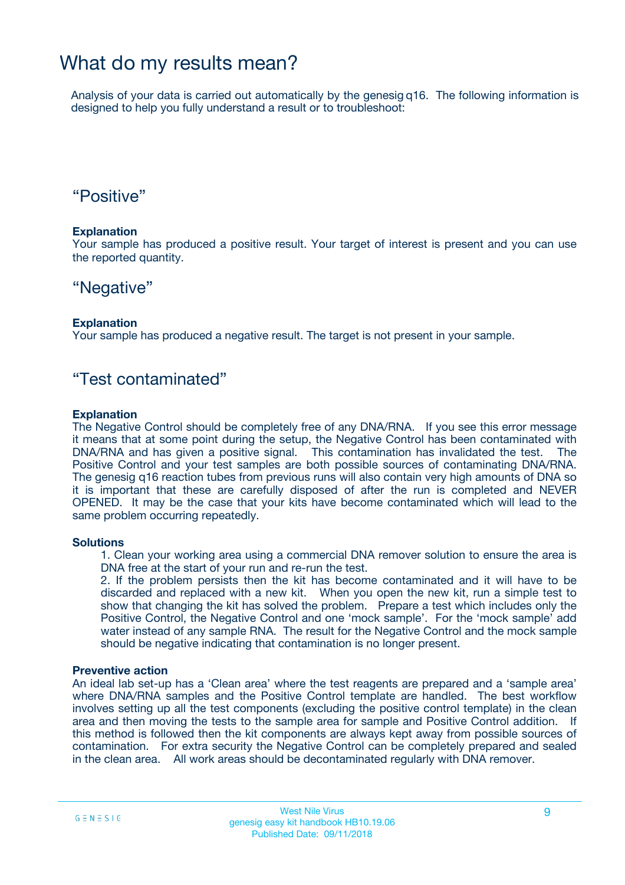## What do my results mean?

Analysis of your data is carried out automatically by the genesig q16. The following information is designed to help you fully understand a result or to troubleshoot:

## "Positive"

### **Explanation**

Your sample has produced a positive result. Your target of interest is present and you can use the reported quantity.

## "Negative"

### **Explanation**

Your sample has produced a negative result. The target is not present in your sample.

## "Test contaminated"

### **Explanation**

The Negative Control should be completely free of any DNA/RNA. If you see this error message it means that at some point during the setup, the Negative Control has been contaminated with DNA/RNA and has given a positive signal. This contamination has invalidated the test. The Positive Control and your test samples are both possible sources of contaminating DNA/RNA. The genesig q16 reaction tubes from previous runs will also contain very high amounts of DNA so it is important that these are carefully disposed of after the run is completed and NEVER OPENED. It may be the case that your kits have become contaminated which will lead to the same problem occurring repeatedly.

### **Solutions**

1. Clean your working area using a commercial DNA remover solution to ensure the area is DNA free at the start of your run and re-run the test.

2. If the problem persists then the kit has become contaminated and it will have to be discarded and replaced with a new kit. When you open the new kit, run a simple test to show that changing the kit has solved the problem. Prepare a test which includes only the Positive Control, the Negative Control and one 'mock sample'. For the 'mock sample' add water instead of any sample RNA. The result for the Negative Control and the mock sample should be negative indicating that contamination is no longer present.

### **Preventive action**

An ideal lab set-up has a 'Clean area' where the test reagents are prepared and a 'sample area' where DNA/RNA samples and the Positive Control template are handled. The best workflow involves setting up all the test components (excluding the positive control template) in the clean area and then moving the tests to the sample area for sample and Positive Control addition. If this method is followed then the kit components are always kept away from possible sources of contamination. For extra security the Negative Control can be completely prepared and sealed in the clean area. All work areas should be decontaminated regularly with DNA remover.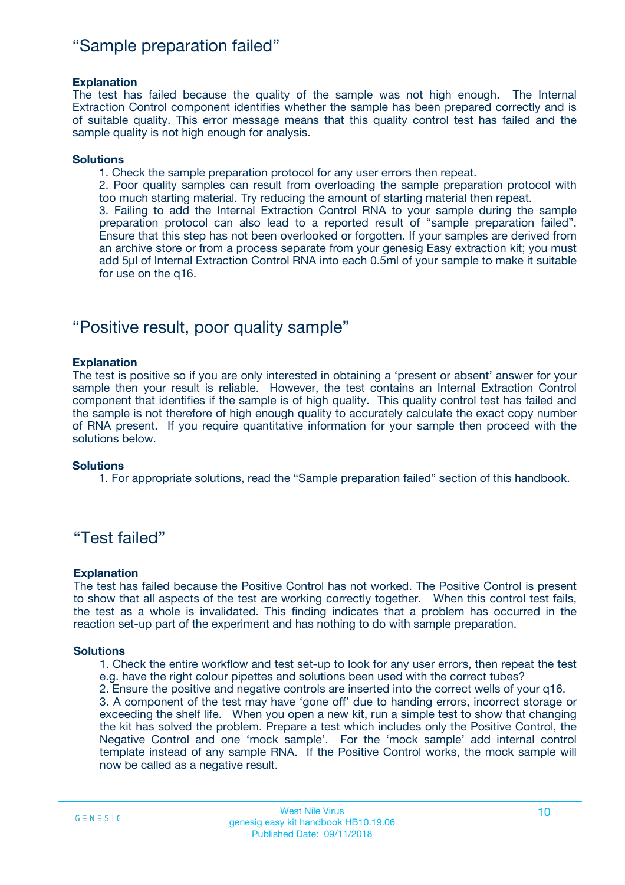## "Sample preparation failed"

### **Explanation**

The test has failed because the quality of the sample was not high enough. The Internal Extraction Control component identifies whether the sample has been prepared correctly and is of suitable quality. This error message means that this quality control test has failed and the sample quality is not high enough for analysis.

### **Solutions**

1. Check the sample preparation protocol for any user errors then repeat.

2. Poor quality samples can result from overloading the sample preparation protocol with too much starting material. Try reducing the amount of starting material then repeat.

3. Failing to add the Internal Extraction Control RNA to your sample during the sample preparation protocol can also lead to a reported result of "sample preparation failed". Ensure that this step has not been overlooked or forgotten. If your samples are derived from an archive store or from a process separate from your genesig Easy extraction kit; you must add 5µl of Internal Extraction Control RNA into each 0.5ml of your sample to make it suitable for use on the q16.

## "Positive result, poor quality sample"

### **Explanation**

The test is positive so if you are only interested in obtaining a 'present or absent' answer for your sample then your result is reliable. However, the test contains an Internal Extraction Control component that identifies if the sample is of high quality. This quality control test has failed and the sample is not therefore of high enough quality to accurately calculate the exact copy number of RNA present. If you require quantitative information for your sample then proceed with the solutions below.

### **Solutions**

1. For appropriate solutions, read the "Sample preparation failed" section of this handbook.

## "Test failed"

### **Explanation**

The test has failed because the Positive Control has not worked. The Positive Control is present to show that all aspects of the test are working correctly together. When this control test fails, the test as a whole is invalidated. This finding indicates that a problem has occurred in the reaction set-up part of the experiment and has nothing to do with sample preparation.

### **Solutions**

- 1. Check the entire workflow and test set-up to look for any user errors, then repeat the test e.g. have the right colour pipettes and solutions been used with the correct tubes?
- 2. Ensure the positive and negative controls are inserted into the correct wells of your q16.

3. A component of the test may have 'gone off' due to handing errors, incorrect storage or exceeding the shelf life. When you open a new kit, run a simple test to show that changing the kit has solved the problem. Prepare a test which includes only the Positive Control, the Negative Control and one 'mock sample'. For the 'mock sample' add internal control template instead of any sample RNA. If the Positive Control works, the mock sample will now be called as a negative result.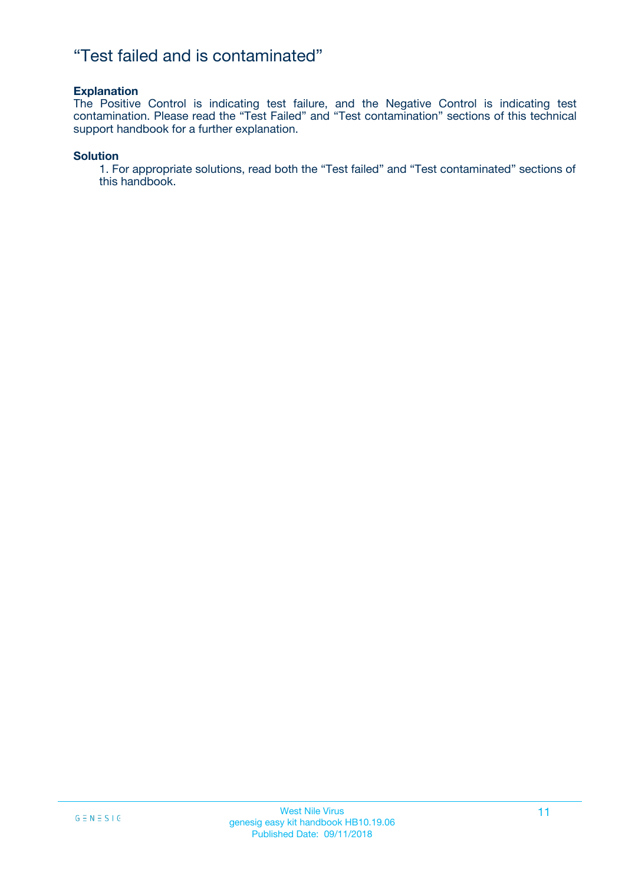## "Test failed and is contaminated"

### **Explanation**

The Positive Control is indicating test failure, and the Negative Control is indicating test contamination. Please read the "Test Failed" and "Test contamination" sections of this technical support handbook for a further explanation.

### **Solution**

1. For appropriate solutions, read both the "Test failed" and "Test contaminated" sections of this handbook.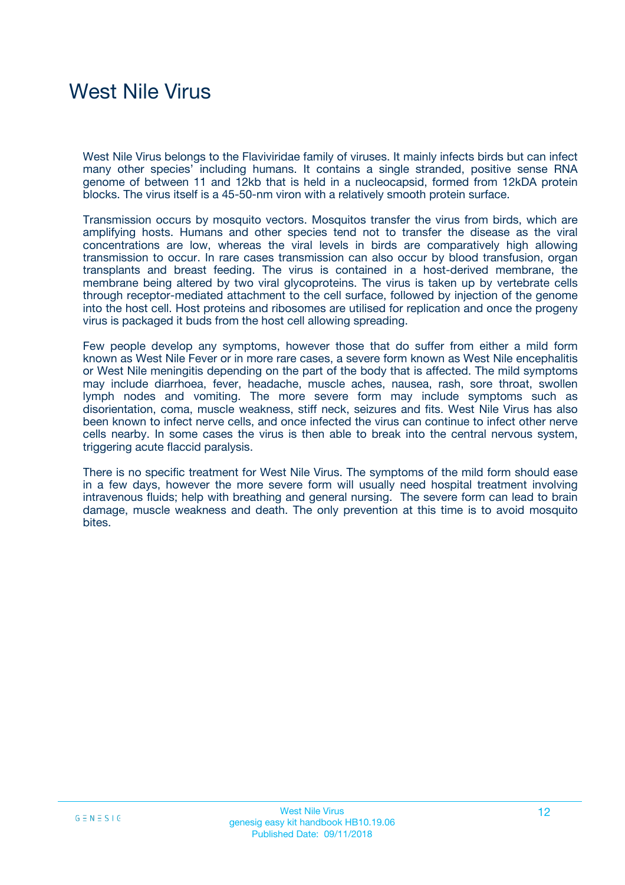# West Nile Virus

West Nile Virus belongs to the Flaviviridae family of viruses. It mainly infects birds but can infect many other species' including humans. It contains a single stranded, positive sense RNA genome of between 11 and 12kb that is held in a nucleocapsid, formed from 12kDA protein blocks. The virus itself is a 45-50-nm viron with a relatively smooth protein surface.

Transmission occurs by mosquito vectors. Mosquitos transfer the virus from birds, which are amplifying hosts. Humans and other species tend not to transfer the disease as the viral concentrations are low, whereas the viral levels in birds are comparatively high allowing transmission to occur. In rare cases transmission can also occur by blood transfusion, organ transplants and breast feeding. The virus is contained in a host-derived membrane, the membrane being altered by two viral glycoproteins. The virus is taken up by vertebrate cells through receptor-mediated attachment to the cell surface, followed by injection of the genome into the host cell. Host proteins and ribosomes are utilised for replication and once the progeny virus is packaged it buds from the host cell allowing spreading.

Few people develop any symptoms, however those that do suffer from either a mild form known as West Nile Fever or in more rare cases, a severe form known as West Nile encephalitis or West Nile meningitis depending on the part of the body that is affected. The mild symptoms may include diarrhoea, fever, headache, muscle aches, nausea, rash, sore throat, swollen lymph nodes and vomiting. The more severe form may include symptoms such as disorientation, coma, muscle weakness, stiff neck, seizures and fits. West Nile Virus has also been known to infect nerve cells, and once infected the virus can continue to infect other nerve cells nearby. In some cases the virus is then able to break into the central nervous system, triggering acute flaccid paralysis.

There is no specific treatment for West Nile Virus. The symptoms of the mild form should ease in a few days, however the more severe form will usually need hospital treatment involving intravenous fluids; help with breathing and general nursing. The severe form can lead to brain damage, muscle weakness and death. The only prevention at this time is to avoid mosquito bites.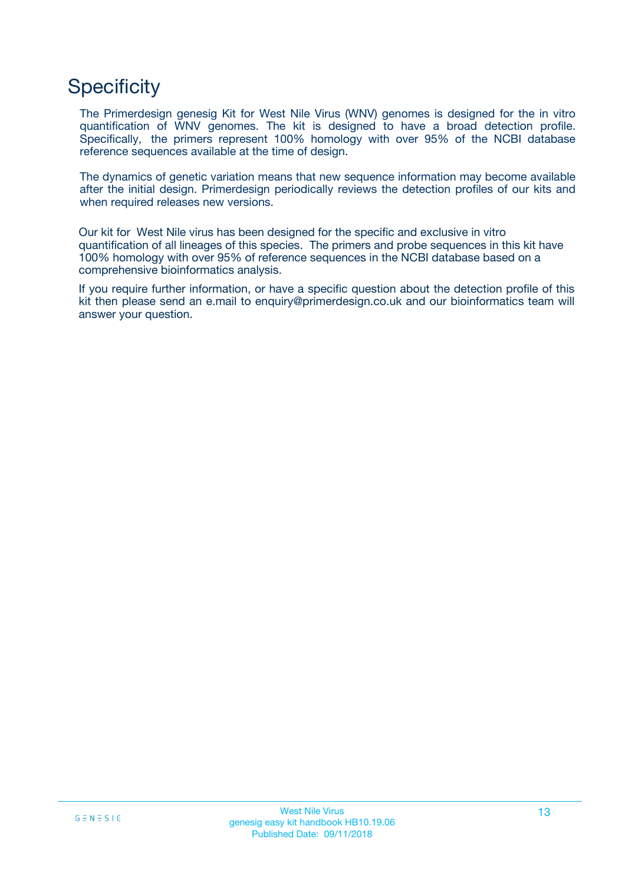# **Specificity**

The Primerdesign genesig Kit for West Nile Virus (WNV) genomes is designed for the in vitro quantification of WNV genomes. The kit is designed to have a broad detection profile. Specifically, the primers represent 100% homology with over 95% of the NCBI database reference sequences available at the time of design.

The dynamics of genetic variation means that new sequence information may become available after the initial design. Primerdesign periodically reviews the detection profiles of our kits and when required releases new versions.

Our kit for West Nile virus has been designed for the specific and exclusive in vitro quantification of all lineages of this species. The primers and probe sequences in this kit have 100% homology with over 95% of reference sequences in the NCBI database based on a comprehensive bioinformatics analysis.

If you require further information, or have a specific question about the detection profile of this kit then please send an e.mail to enquiry@primerdesign.co.uk and our bioinformatics team will answer your question.